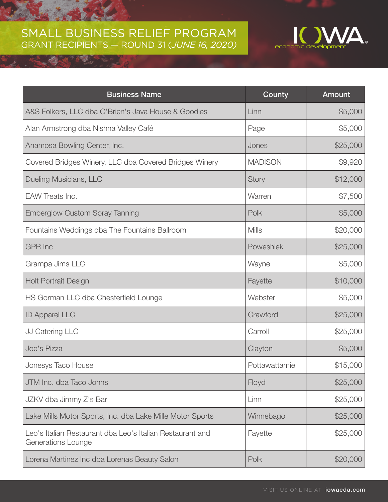## SMALL BUSINESS RELIEF PROGRAM GRANT RECIPIENTS — ROUND 31 (*JUNE 16, 2020)*

**KSL** 

3



| <b>Business Name</b>                                                            | County         | <b>Amount</b> |
|---------------------------------------------------------------------------------|----------------|---------------|
| A&S Folkers, LLC dba O'Brien's Java House & Goodies                             | Linn           | \$5,000       |
| Alan Armstrong dba Nishna Valley Café                                           | Page           | \$5,000       |
| Anamosa Bowling Center, Inc.                                                    | Jones          | \$25,000      |
| Covered Bridges Winery, LLC dba Covered Bridges Winery                          | <b>MADISON</b> | \$9,920       |
| Dueling Musicians, LLC                                                          | Story          | \$12,000      |
| EAW Treats Inc.                                                                 | Warren         | \$7,500       |
| <b>Emberglow Custom Spray Tanning</b>                                           | Polk           | \$5,000       |
| Fountains Weddings dba The Fountains Ballroom                                   | <b>Mills</b>   | \$20,000      |
| <b>GPR</b> Inc                                                                  | Poweshiek      | \$25,000      |
| Grampa Jims LLC                                                                 | Wayne          | \$5,000       |
| <b>Holt Portrait Design</b>                                                     | Fayette        | \$10,000      |
| HS Gorman LLC dba Chesterfield Lounge                                           | Webster        | \$5,000       |
| <b>ID Apparel LLC</b>                                                           | Crawford       | \$25,000      |
| JJ Catering LLC                                                                 | Carroll        | \$25,000      |
| Joe's Pizza                                                                     | Clayton        | \$5,000       |
| Jonesys Taco House                                                              | Pottawattamie  | \$15,000      |
| JTM Inc. dba Taco Johns                                                         | Floyd          | \$25,000      |
| JZKV dba Jimmy Z's Bar                                                          | Linn           | \$25,000      |
| Lake Mills Motor Sports, Inc. dba Lake Mille Motor Sports                       | Winnebago      | \$25,000      |
| Leo's Italian Restaurant dba Leo's Italian Restaurant and<br>Generations Lounge | Fayette        | \$25,000      |
| Lorena Martinez Inc dba Lorenas Beauty Salon                                    | Polk           | \$20,000      |